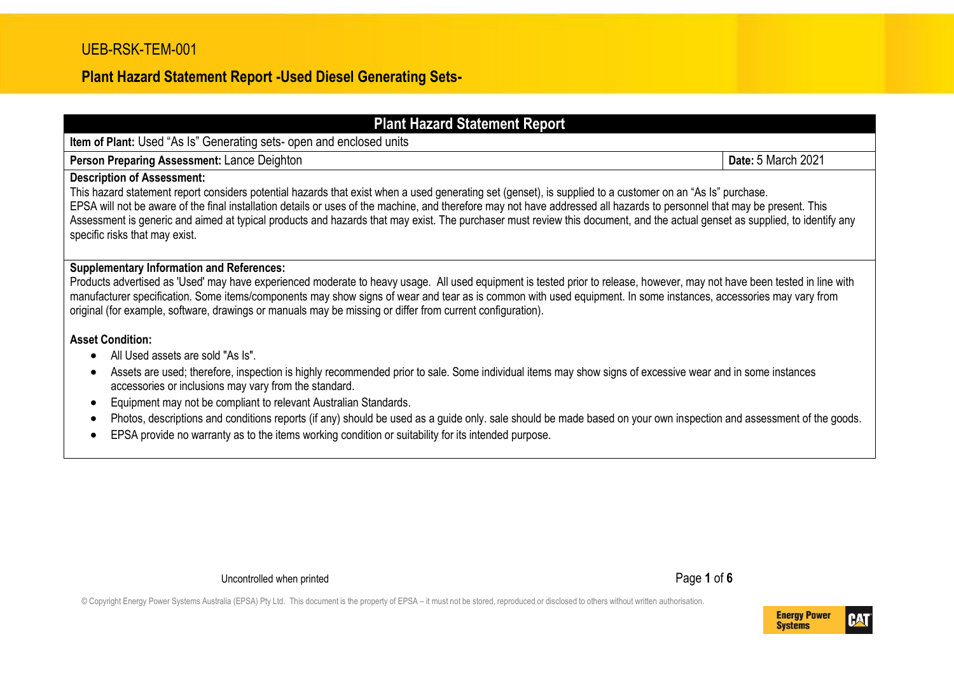| <b>Plant Hazard Statement Report</b>                                                                                                                                                                                                                                                                                                                                                                                                                                                                                                                                                                                                            |                    |  |  |  |
|-------------------------------------------------------------------------------------------------------------------------------------------------------------------------------------------------------------------------------------------------------------------------------------------------------------------------------------------------------------------------------------------------------------------------------------------------------------------------------------------------------------------------------------------------------------------------------------------------------------------------------------------------|--------------------|--|--|--|
| Item of Plant: Used "As Is" Generating sets- open and enclosed units                                                                                                                                                                                                                                                                                                                                                                                                                                                                                                                                                                            |                    |  |  |  |
| Person Preparing Assessment: Lance Deighton                                                                                                                                                                                                                                                                                                                                                                                                                                                                                                                                                                                                     | Date: 5 March 2021 |  |  |  |
| <b>Description of Assessment:</b><br>This hazard statement report considers potential hazards that exist when a used generating set (genset), is supplied to a customer on an "As Is" purchase.<br>EPSA will not be aware of the final installation details or uses of the machine, and therefore may not have addressed all hazards to personnel that may be present. This<br>Assessment is generic and aimed at typical products and hazards that may exist. The purchaser must review this document, and the actual genset as supplied, to identify any<br>specific risks that may exist.                                                    |                    |  |  |  |
| <b>Supplementary Information and References:</b><br>Products advertised as 'Used' may have experienced moderate to heavy usage. All used equipment is tested prior to release, however, may not have been tested in line with<br>manufacturer specification. Some items/components may show signs of wear and tear as is common with used equipment. In some instances, accessories may vary from<br>original (for example, software, drawings or manuals may be missing or differ from current configuration).                                                                                                                                 |                    |  |  |  |
| <b>Asset Condition:</b><br>All Used assets are sold "As Is".<br>$\bullet$<br>Assets are used; therefore, inspection is highly recommended prior to sale. Some individual items may show signs of excessive wear and in some instances<br>accessories or inclusions may vary from the standard.<br>Equipment may not be compliant to relevant Australian Standards.<br>Photos, descriptions and conditions reports (if any) should be used as a guide only. sale should be made based on your own inspection and assessment of the goods.<br>EPSA provide no warranty as to the items working condition or suitability for its intended purpose. |                    |  |  |  |

Uncontrolled when printed **Page 1** of **6** 

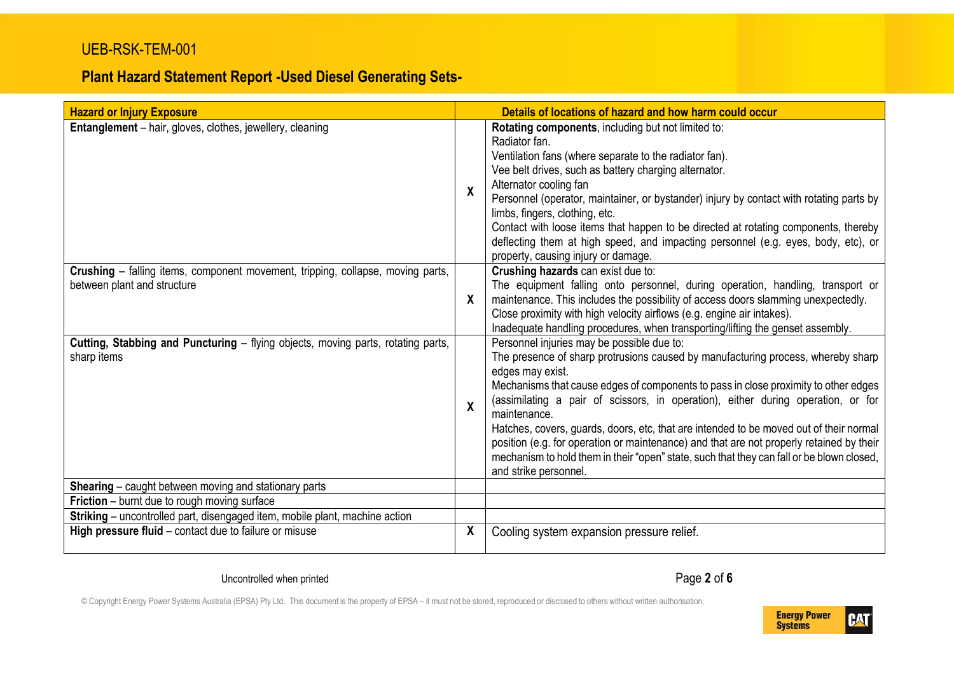#### UEB-RSK-TEM-001

# **Plant Hazard Statement Report -Used Diesel Generating Sets-**

| <b>Hazard or Injury Exposure</b>                                                                                            |                  | Details of locations of hazard and how harm could occur                                                                                                                                                                                                                                                                                                                                                                                                                                                                                                                                                                                                   |  |
|-----------------------------------------------------------------------------------------------------------------------------|------------------|-----------------------------------------------------------------------------------------------------------------------------------------------------------------------------------------------------------------------------------------------------------------------------------------------------------------------------------------------------------------------------------------------------------------------------------------------------------------------------------------------------------------------------------------------------------------------------------------------------------------------------------------------------------|--|
| <b>Entanglement</b> – hair, gloves, clothes, jewellery, cleaning                                                            | X                | Rotating components, including but not limited to:<br>Radiator fan.<br>Ventilation fans (where separate to the radiator fan).<br>Vee belt drives, such as battery charging alternator.<br>Alternator cooling fan<br>Personnel (operator, maintainer, or bystander) injury by contact with rotating parts by<br>limbs, fingers, clothing, etc.<br>Contact with loose items that happen to be directed at rotating components, thereby<br>deflecting them at high speed, and impacting personnel (e.g. eyes, body, etc), or<br>property, causing injury or damage.                                                                                          |  |
| <b>Crushing</b> – falling items, component movement, tripping, collapse, moving parts,<br>between plant and structure       | X                | Crushing hazards can exist due to:<br>The equipment falling onto personnel, during operation, handling, transport or<br>maintenance. This includes the possibility of access doors slamming unexpectedly.<br>Close proximity with high velocity airflows (e.g. engine air intakes).<br>Inadequate handling procedures, when transporting/lifting the genset assembly.                                                                                                                                                                                                                                                                                     |  |
| Cutting, Stabbing and Puncturing - flying objects, moving parts, rotating parts,<br>sharp items                             | $\boldsymbol{x}$ | Personnel injuries may be possible due to:<br>The presence of sharp protrusions caused by manufacturing process, whereby sharp<br>edges may exist.<br>Mechanisms that cause edges of components to pass in close proximity to other edges<br>(assimilating a pair of scissors, in operation), either during operation, or for<br>maintenance.<br>Hatches, covers, guards, doors, etc, that are intended to be moved out of their normal<br>position (e.g. for operation or maintenance) and that are not properly retained by their<br>mechanism to hold them in their "open" state, such that they can fall or be blown closed,<br>and strike personnel. |  |
| Shearing - caught between moving and stationary parts                                                                       |                  |                                                                                                                                                                                                                                                                                                                                                                                                                                                                                                                                                                                                                                                           |  |
| Friction - burnt due to rough moving surface<br>Striking - uncontrolled part, disengaged item, mobile plant, machine action |                  |                                                                                                                                                                                                                                                                                                                                                                                                                                                                                                                                                                                                                                                           |  |
| High pressure fluid - contact due to failure or misuse                                                                      | X                | Cooling system expansion pressure relief.                                                                                                                                                                                                                                                                                                                                                                                                                                                                                                                                                                                                                 |  |

Uncontrolled when printed **Page 2** of **6** 

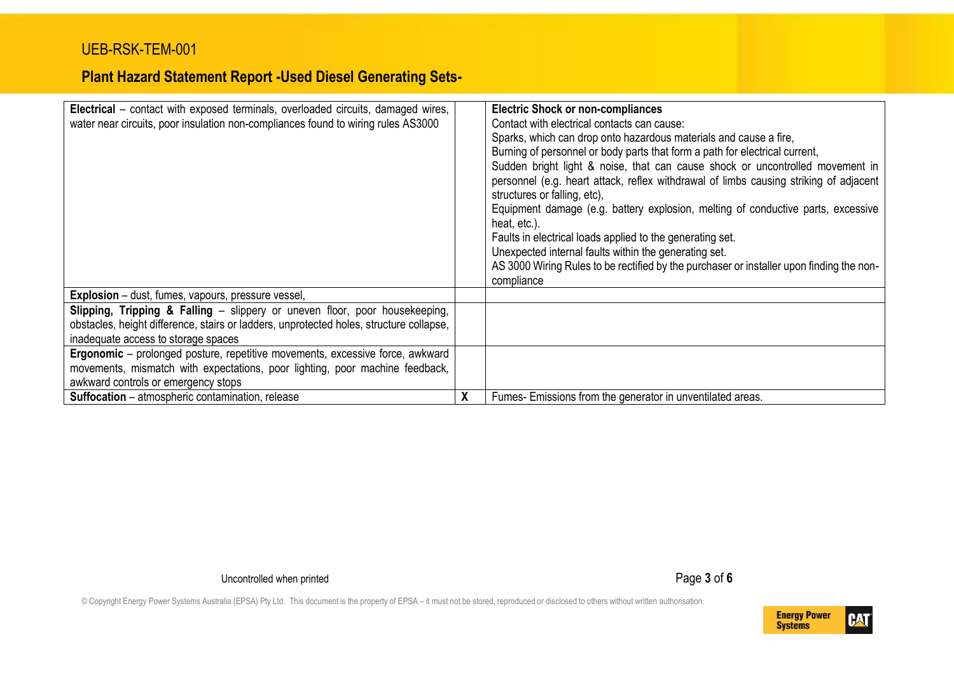| <b>Electrical</b> – contact with exposed terminals, overloaded circuits, damaged wires,<br>water near circuits, poor insulation non-compliances found to wiring rules AS3000                                  |   | <b>Electric Shock or non-compliances</b><br>Contact with electrical contacts can cause:<br>Sparks, which can drop onto hazardous materials and cause a fire,<br>Burning of personnel or body parts that form a path for electrical current,<br>Sudden bright light & noise, that can cause shock or uncontrolled movement in<br>personnel (e.g. heart attack, reflex withdrawal of limbs causing striking of adjacent<br>structures or falling, etc),<br>Equipment damage (e.g. battery explosion, melting of conductive parts, excessive<br>heat, etc.).<br>Faults in electrical loads applied to the generating set.<br>Unexpected internal faults within the generating set.<br>AS 3000 Wiring Rules to be rectified by the purchaser or installer upon finding the non-<br>compliance |
|---------------------------------------------------------------------------------------------------------------------------------------------------------------------------------------------------------------|---|-------------------------------------------------------------------------------------------------------------------------------------------------------------------------------------------------------------------------------------------------------------------------------------------------------------------------------------------------------------------------------------------------------------------------------------------------------------------------------------------------------------------------------------------------------------------------------------------------------------------------------------------------------------------------------------------------------------------------------------------------------------------------------------------|
| <b>Explosion</b> – dust, fumes, vapours, pressure vessel,                                                                                                                                                     |   |                                                                                                                                                                                                                                                                                                                                                                                                                                                                                                                                                                                                                                                                                                                                                                                           |
| Slipping, Tripping & Falling - slippery or uneven floor, poor housekeeping,<br>obstacles, height difference, stairs or ladders, unprotected holes, structure collapse,<br>inadequate access to storage spaces |   |                                                                                                                                                                                                                                                                                                                                                                                                                                                                                                                                                                                                                                                                                                                                                                                           |
| Ergonomic - prolonged posture, repetitive movements, excessive force, awkward<br>movements, mismatch with expectations, poor lighting, poor machine feedback,<br>awkward controls or emergency stops          |   |                                                                                                                                                                                                                                                                                                                                                                                                                                                                                                                                                                                                                                                                                                                                                                                           |
| <b>Suffocation</b> – atmospheric contamination, release                                                                                                                                                       | χ | Fumes- Emissions from the generator in unventilated areas.                                                                                                                                                                                                                                                                                                                                                                                                                                                                                                                                                                                                                                                                                                                                |

Uncontrolled when printed **Page 3 of 6** 

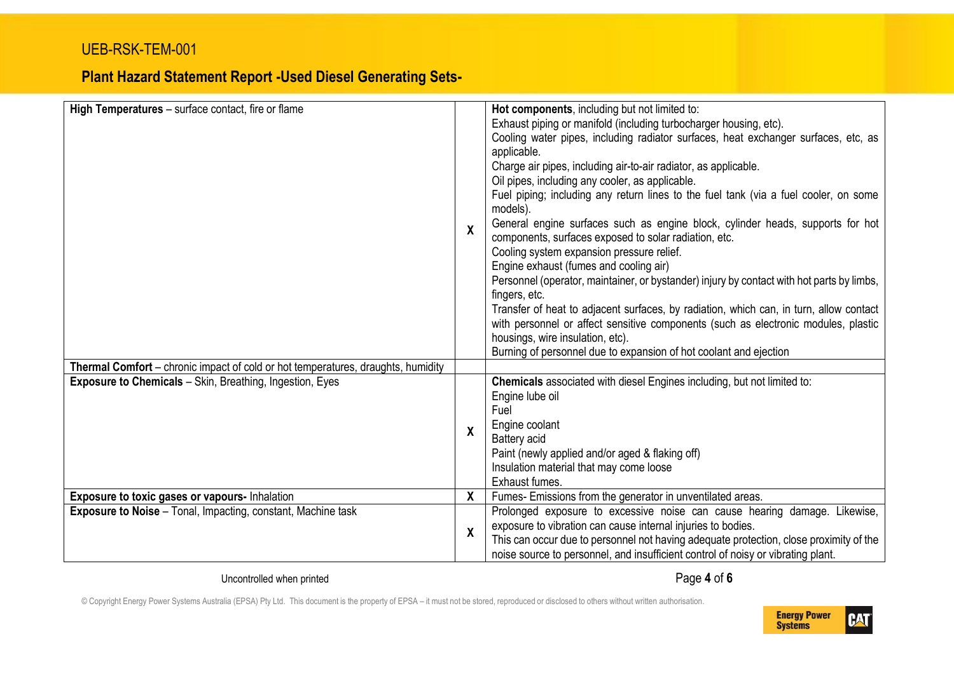| High Temperatures - surface contact, fire or flame                                                                                                         | X            | Hot components, including but not limited to:<br>Exhaust piping or manifold (including turbocharger housing, etc).<br>Cooling water pipes, including radiator surfaces, heat exchanger surfaces, etc, as<br>applicable.<br>Charge air pipes, including air-to-air radiator, as applicable.<br>Oil pipes, including any cooler, as applicable.<br>Fuel piping; including any return lines to the fuel tank (via a fuel cooler, on some<br>models).<br>General engine surfaces such as engine block, cylinder heads, supports for hot<br>components, surfaces exposed to solar radiation, etc.<br>Cooling system expansion pressure relief.<br>Engine exhaust (fumes and cooling air)<br>Personnel (operator, maintainer, or bystander) injury by contact with hot parts by limbs,<br>fingers, etc.<br>Transfer of heat to adjacent surfaces, by radiation, which can, in turn, allow contact<br>with personnel or affect sensitive components (such as electronic modules, plastic<br>housings, wire insulation, etc).<br>Burning of personnel due to expansion of hot coolant and ejection |
|------------------------------------------------------------------------------------------------------------------------------------------------------------|--------------|--------------------------------------------------------------------------------------------------------------------------------------------------------------------------------------------------------------------------------------------------------------------------------------------------------------------------------------------------------------------------------------------------------------------------------------------------------------------------------------------------------------------------------------------------------------------------------------------------------------------------------------------------------------------------------------------------------------------------------------------------------------------------------------------------------------------------------------------------------------------------------------------------------------------------------------------------------------------------------------------------------------------------------------------------------------------------------------------|
| <b>Thermal Comfort</b> – chronic impact of cold or hot temperatures, draughts, humidity<br><b>Exposure to Chemicals</b> - Skin, Breathing, Ingestion, Eyes | X            | Chemicals associated with diesel Engines including, but not limited to:<br>Engine lube oil<br>Fuel<br>Engine coolant<br>Battery acid<br>Paint (newly applied and/or aged & flaking off)<br>Insulation material that may come loose<br>Exhaust fumes.                                                                                                                                                                                                                                                                                                                                                                                                                                                                                                                                                                                                                                                                                                                                                                                                                                       |
| Exposure to toxic gases or vapours- Inhalation                                                                                                             | X            | Fumes-Emissions from the generator in unventilated areas.                                                                                                                                                                                                                                                                                                                                                                                                                                                                                                                                                                                                                                                                                                                                                                                                                                                                                                                                                                                                                                  |
| <b>Exposure to Noise</b> - Tonal, Impacting, constant, Machine task                                                                                        | $\pmb{\chi}$ | Prolonged exposure to excessive noise can cause hearing damage. Likewise,<br>exposure to vibration can cause internal injuries to bodies.<br>This can occur due to personnel not having adequate protection, close proximity of the<br>noise source to personnel, and insufficient control of noisy or vibrating plant.                                                                                                                                                                                                                                                                                                                                                                                                                                                                                                                                                                                                                                                                                                                                                                    |

Uncontrolled when printed **Page 4 of 6** 

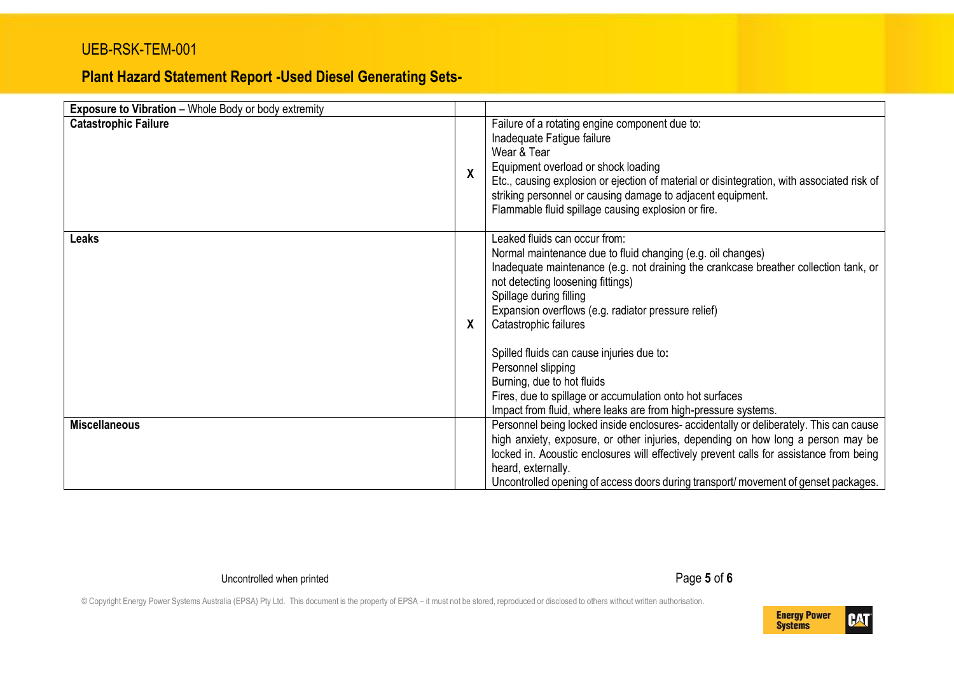#### UEB-RSK-TEM-001

# **Plant Hazard Statement Report -Used Diesel Generating Sets-**

| <b>Exposure to Vibration</b> - Whole Body or body extremity |   |                                                                                                                                                                                                                                                                                                                                                                                                                                                                                                                                                                     |
|-------------------------------------------------------------|---|---------------------------------------------------------------------------------------------------------------------------------------------------------------------------------------------------------------------------------------------------------------------------------------------------------------------------------------------------------------------------------------------------------------------------------------------------------------------------------------------------------------------------------------------------------------------|
| <b>Catastrophic Failure</b>                                 | χ | Failure of a rotating engine component due to:<br>Inadequate Fatigue failure<br>Wear & Tear<br>Equipment overload or shock loading<br>Etc., causing explosion or ejection of material or disintegration, with associated risk of<br>striking personnel or causing damage to adjacent equipment.<br>Flammable fluid spillage causing explosion or fire.                                                                                                                                                                                                              |
| Leaks                                                       | X | Leaked fluids can occur from:<br>Normal maintenance due to fluid changing (e.g. oil changes)<br>Inadequate maintenance (e.g. not draining the crankcase breather collection tank, or<br>not detecting loosening fittings)<br>Spillage during filling<br>Expansion overflows (e.g. radiator pressure relief)<br>Catastrophic failures<br>Spilled fluids can cause injuries due to:<br>Personnel slipping<br>Burning, due to hot fluids<br>Fires, due to spillage or accumulation onto hot surfaces<br>Impact from fluid, where leaks are from high-pressure systems. |
| <b>Miscellaneous</b>                                        |   | Personnel being locked inside enclosures-accidentally or deliberately. This can cause<br>high anxiety, exposure, or other injuries, depending on how long a person may be<br>locked in. Acoustic enclosures will effectively prevent calls for assistance from being<br>heard, externally.<br>Uncontrolled opening of access doors during transport/movement of genset packages.                                                                                                                                                                                    |

Uncontrolled when printed **Page 5** of **6**